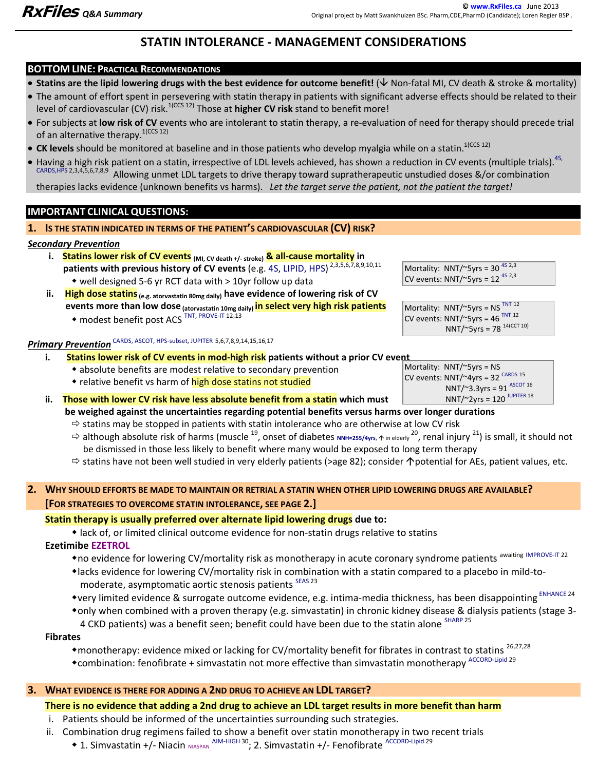# **STATIN INTOLERANCE - MANAGEMENT CONSIDERATIONS**

#### **BOTTOM LINE: PRACTICAL RECOMMENDATIONS**

- **Statins are the lipid lowering drugs with the best evidence for outcome benefit!**  $(\forall$  **Non-fatal MI, CV death & stroke & mortality)**
- The amount of effort spent in persevering with statin therapy in patients with significant adverse effects should be related to their level of cardiovascular (CV) risk.1(CCS 12) Those at **higher CV risk** stand to benefit more!
- For subjects at **low risk of CV** events who are intolerant to statin therapy, a re-evaluation of need for therapy should precede trial of an alternative therapy.<sup>1(CCS 12)</sup>
- CK levels should be monitored at baseline and in those patients who develop myalgia while on a statin.<sup>1(CCS 12)</sup>
- Having a high risk patient on a statin, irrespective of LDL levels achieved, has shown a reduction in CV events (multiple trials). <sup>4S,</sup> CARDS,HPS 2,3,4,5,6,7,8,9 Allowing unmet LDL targets to drive therapy toward supratherapeutic unstudied doses &/or combination therapies lacks evidence (unknown benefits vs harms). *Let the target serve the patient, not the patient the target!*

## **IMPORTANT CLINICAL QUESTIONS:**

**1. IS THE STATIN INDICATED IN TERMS OF THE PATIENT'S CARDIOVASCULAR (CV) RISK?** 

### *Secondary Prevention*

- i. Statins lower risk of CV events (MI, CV death +/- stroke) & all-cause mortality in patients with previous history of CV events (e.g. 4S, LIPID, HPS)<sup>2,3,5,6,7,8,9,10,11</sup> well designed 5-6 yr RCT data with > 10yr follow up data
- ii. High dose statins <sub>(e.g. atorvastatin 80mg daily)</sub> have evidence of lowering risk of CV  **events more than low dose (atorvastatin 10mg daily) in select very high risk patients**  • modest benefit post ACS<sup>TNT, PROVE-IT 12,13</sub></sup>

# *Primary Prevention* CARDS, ASCOT, HPS-subset, JUPITER 5,6,7,8,9,14,15,16,17

#### **i. Statins lower risk of CV events in mod-high risk patients without a prior CV event**

- absolute benefits are modest relative to secondary prevention
- relative benefit vs harm of high dose statins not studied
- **ii. Those with lower CV risk have less absolute benefit from a statin which must be weighed against the uncertainties regarding potential benefits versus harms over longer durations**

 $\Rightarrow$  statins may be stopped in patients with statin intolerance who are otherwise at low CV risk

- $\Rightarrow$  although absolute risk of harms (muscle <sup>19</sup>, onset of diabetes NNH=255/4yrs, ↑ in elderly <sup>20</sup>, renal injury <sup>21</sup>) is small, it should not be dismissed in those less likely to benefit where many would be exposed to long term therapy
- $\Rightarrow$  statins have not been well studied in very elderly patients (>age 82); consider  $\bigwedge$  potential for AEs, patient values, etc.

#### **2. WHY SHOULD EFFORTS BE MADE TO MAINTAIN OR RETRIAL A STATIN WHEN OTHER LIPID LOWERING DRUGS ARE AVAILABLE? [FOR STRATEGIES TO OVERCOME STATIN INTOLERANCE, SEE PAGE 2.]**

## **Statin therapy is usually preferred over alternate lipid lowering drugs due to:**

lack of, or limited clinical outcome evidence for non-statin drugs relative to statins

#### **Ezetimibe EZETROL**

- \* no evidence for lowering CV/mortality risk as monotherapy in acute coronary syndrome patients awaiting IMPROVE-IT 22
- lacks evidence for lowering CV/mortality risk in combination with a statin compared to a placebo in mild-tomoderate, asymptomatic aortic stenosis patients SEAS 23
- \*very limited evidence & surrogate outcome evidence, e.g. intima-media thickness, has been disappointing ENHANCE 24
- only when combined with a proven therapy (e.g. simvastatin) in chronic kidney disease & dialysis patients (stage 3- 4 CKD patients) was a benefit seen; benefit could have been due to the statin alone SHARP 25

#### **Fibrates**

\*monotherapy: evidence mixed or lacking for CV/mortality benefit for fibrates in contrast to statins <sup>26,27,28</sup> \*combination: fenofibrate + simvastatin not more effective than simvastatin monotherapy ACCORD-Lipid 29

### **3. WHAT EVIDENCE IS THERE FOR ADDING A 2ND DRUG TO ACHIEVE AN LDL TARGET?**

## **There is no evidence that adding a 2nd drug to achieve an LDL target results in more benefit than harm**

- i. Patients should be informed of the uncertainties surrounding such strategies.
- ii. Combination drug regimens failed to show a benefit over statin monotherapy in two recent trials
	- ◆ 1. Simvastatin +/- Niacin NIASPAN AIM-HIGH 30; 2. Simvastatin +/- Fenofibrate ACCORD-Lipid 29

Mortality: NNT/ $\degree$ 5yrs = 30<sup>4S 2,3</sup> CV events: NNT/ $\degree$ 5yrs = 12<sup>4S 2,3</sup>

Mortality:  $NNT/\sim$ 5yrs = NS<sup>TNT 12</sup> CV events:  $NNT/\sim$ 5yrs = 46<sup>TNT 12</sup> NNT/~5yrs =  $78^{14(CCT 10)}$ 

| Mortality: $NNT/~5yrs = NS$                     |  |
|-------------------------------------------------|--|
| CV events: $NNT/24yrs = 32$ CARDS 15            |  |
| NNT/~3.3yrs = 91 ASCOT 16                       |  |
| NNT/ $\degree$ 2yrs = 120 <sup>JUPITER 18</sup> |  |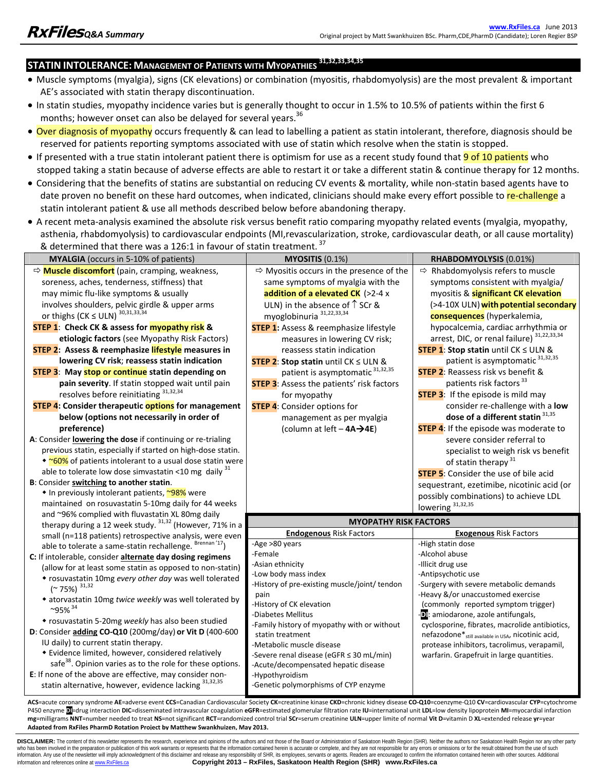# **STATIN INTOLERANCE: MANAGEMENT OF PATIENTS WITH MYOPATHIES 31,32,33,34,35**

- Muscle symptoms (myalgia), signs (CK elevations) or combination (myositis, rhabdomyolysis) are the most prevalent & important AE's associated with statin therapy discontinuation.
- In statin studies, myopathy incidence varies but is generally thought to occur in 1.5% to 10.5% of patients within the first 6 months; however onset can also be delayed for several years.<sup>36</sup>
- Over diagnosis of myopathy occurs frequently & can lead to labelling a patient as statin intolerant, therefore, diagnosis should be reserved for patients reporting symptoms associated with use of statin which resolve when the statin is stopped.
- If presented with a true statin intolerant patient there is optimism for use as a recent study found that **9 of 10 patients** who stopped taking a statin because of adverse effects are able to restart it or take a different statin & continue therapy for 12 months.
- Considering that the benefits of statins are substantial on reducing CV events & mortality, while non-statin based agents have to date proven no benefit on these hard outcomes, when indicated, clinicians should make every effort possible to re-challenge a statin intolerant patient & use all methods described below before abandoning therapy.
- A recent meta-analysis examined the absolute risk versus benefit ratio comparing myopathy related events (myalgia, myopathy, asthenia, rhabdomyolysis) to cardiovascular endpoints (MI,revascularization, stroke, cardiovascular death, or all cause mortality) & determined that there was a 126:1 in favour of statin treatment. <sup>37</sup>

| MYALGIA (occurs in 5-10% of patients)                                 | <b>MYOSITIS (0.1%)</b>                                          | RHABDOMYOLYSIS (0.01%)                                                      |
|-----------------------------------------------------------------------|-----------------------------------------------------------------|-----------------------------------------------------------------------------|
|                                                                       |                                                                 |                                                                             |
| → Muscle discomfort (pain, cramping, weakness,                        | $\Rightarrow$ Myositis occurs in the presence of the            | $\Rightarrow$ Rhabdomyolysis refers to muscle                               |
| soreness, aches, tenderness, stiffness) that                          | same symptoms of myalgia with the                               | symptoms consistent with myalgia/                                           |
| may mimic flu-like symptoms & usually                                 | addition of a elevated $CK$ (>2-4 x                             | myositis & significant CK elevation                                         |
| involves shoulders, pelvic girdle & upper arms                        | ULN) in the absence of $\uparrow$ SCr &                         | (>4-10X ULN) with potential secondary                                       |
| or thighs (CK $\leq$ ULN) <sup>30,31,33,34</sup>                      | myoglobinuria <sup>31,22,33,34</sup>                            | consequences (hyperkalemia,                                                 |
| <b>STEP 1: Check CK &amp; assess for myopathy risk &amp;</b>          | <b>STEP 1:</b> Assess & reemphasize lifestyle                   | hypocalcemia, cardiac arrhythmia or                                         |
| etiologic factors (see Myopathy Risk Factors)                         | measures in lowering CV risk;                                   | arrest, DIC, or renal failure) 31,22,33,34                                  |
| STEP 2: Assess & reemphasize lifestyle measures in                    | reassess statin indication                                      | <b>STEP 1: Stop statin until CK <math>\leq</math> ULN &amp;</b>             |
| lowering CV risk; reassess statin indication                          | <b>STEP 2: Stop statin until CK <math>\leq</math> ULN &amp;</b> | patient is asymptomatic 31,32,35                                            |
| <b>STEP 3: May stop or continue</b> statin depending on               | patient is asymptomatic 31,32,35                                | <b>STEP 2: Reassess risk vs benefit &amp;</b>                               |
| pain severity. If statin stopped wait until pain                      | <b>STEP 3:</b> Assess the patients' risk factors                | patients risk factors <sup>33</sup>                                         |
| resolves before reinitiating 31,32,34                                 | for myopathy                                                    | <b>STEP 3:</b> If the episode is mild may                                   |
| <b>STEP 4: Consider therapeutic options for management</b>            | <b>STEP 4:</b> Consider options for                             | consider re-challenge with a low                                            |
| below (options not necessarily in order of                            | management as per myalgia                                       | dose of a different statin 31,35                                            |
| preference)                                                           | (column at left - 4A→4E)                                        | <b>STEP 4:</b> If the episode was moderate to                               |
| A: Consider lowering the dose if continuing or re-trialing            |                                                                 | severe consider referral to                                                 |
| previous statin, especially if started on high-dose statin.           |                                                                 | specialist to weigh risk vs benefit                                         |
| • ~60% of patients intolerant to a usual dose statin were             |                                                                 | of statin therapy <sup>31</sup>                                             |
| able to tolerate low dose simvastatin <10 mg daily $31$               |                                                                 | <b>STEP 5:</b> Consider the use of bile acid                                |
| B: Consider switching to another statin.                              |                                                                 | sequestrant, ezetimibe, nicotinic acid (or                                  |
| ◆ In previously intolerant patients, ~98% were                        |                                                                 | possibly combinations) to achieve LDL                                       |
| maintained on rosuvastatin 5-10mg daily for 44 weeks                  |                                                                 | lowering 31,32,35                                                           |
| and ~96% complied with fluvastatin XL 80mg daily                      |                                                                 |                                                                             |
| therapy during a 12 week study. 31,32 (However, 71% in a              | <b>MYOPATHY RISK FACTORS</b>                                    |                                                                             |
| small (n=118 patients) retrospective analysis, were even              | <b>Endogenous Risk Factors</b>                                  | <b>Exogenous Risk Factors</b>                                               |
| able to tolerate a same-statin rechallenge. Brennan '17)              | -Age >80 years                                                  | -High statin dose                                                           |
| C: If intolerable, consider alternate day dosing regimens             | -Female                                                         | -Alcohol abuse                                                              |
| (allow for at least some statin as opposed to non-statin)             | -Asian ethnicity                                                | -Illicit drug use                                                           |
| • rosuvastatin 10mg every other day was well tolerated                | -Low body mass index                                            | -Antipsychotic use                                                          |
| $(* 75%)$ <sup>31,32</sup>                                            | -History of pre-existing muscle/joint/ tendon                   | -Surgery with severe metabolic demands<br>-Heavy &/or unaccustomed exercise |
| • atorvastatin 10mg twice weekly was well tolerated by                | pain<br>-History of CK elevation                                | (commonly reported symptom trigger)                                         |
| $~95\%$ <sup>34</sup>                                                 | -Diabetes Mellitus                                              | <b>D</b> : amiodarone, azole antifungals,                                   |
| * rosuvastatin 5-20mg weekly has also been studied                    | -Family history of myopathy with or without                     | cyclosporine, fibrates, macrolide antibiotics,                              |
| D: Consider adding CO-Q10 (200mg/day) or Vit D (400-600               | statin treatment                                                | nefazodone* <sub>still available in USA</sub> , nicotinic acid,             |
| IU daily) to current statin therapy.                                  | -Metabolic muscle disease                                       | protease inhibitors, tacrolimus, verapamil,                                 |
| • Evidence limited, however, considered relatively                    | -Severe renal disease (eGFR ≤ 30 mL/min)                        | warfarin. Grapefruit in large quantities.                                   |
| safe <sup>38</sup> . Opinion varies as to the role for these options. | -Acute/decompensated hepatic disease                            |                                                                             |
| E: If none of the above are effective, may consider non-              | -Hypothyroidism                                                 |                                                                             |
| statin alternative, however, evidence lacking 31,32,35                | -Genetic polymorphisms of CYP enzyme                            |                                                                             |
|                                                                       |                                                                 |                                                                             |

ACS=acute coronary syndrome AE=adverse event CCS=Canadian Cardiovascular Society CK=creatinine kinase CKD=chronic kidney disease CO-Q10=coenzyme-Q10 CV=cardiovascular CYP=cytochrome P450 enzyme Dl=drug interaction DIC=disseminated intravascular coagulation eGFR=estimated glomerular filtration rate IU=international unit LDL=low density lipoprotein MI=myocardial infarction mg=milligrams NNT=number needed to treat NS=not significant RCT=randomized control trial SCr=serum creatinine ULN=upper limite of normal Vit D=vitamin D XL=extended release yr=year **Adapted from RxFiles PharmD Rotation Project by Matthew Swankhuizen, May 2013.**

DISCLAIMER: The content of this newsletter represents the research, experience and opinions of the authors and not those of the Board or Administration of Saskatoon Health Region (SHR). Neither the authors nor Saskatoon He who has been involved in the preparation or publication of this work warrants or represents that the information contained herein is accurate or complete, and they are not responsible for any errors or omissions or for the information and references online at www.RxFiles.ca **Copyright 2013 – RxFiles, Saskatoon Health Region (SHR) www.RxFiles.ca**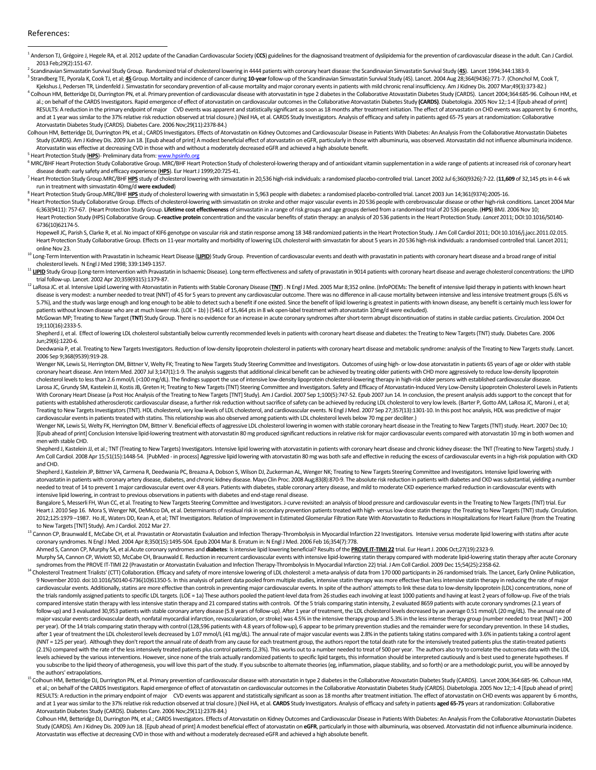#### References:

 $\overline{a}$ <sup>1</sup> Anderson TJ, Grégoire J, Hegele RA, et al. 2012 update of the Canadian Cardiovascular Society (CCS) guidelines for the diagnosisand treatment of dyslipidemia for the prevention of cardiovascular disease in the adult. C 2013 Feb;29(2):151-67. 2

Scandinavian Simvastatin Survival Study Group. Randomized trial of cholesterol lowering in 4444 patients with coronary heart disease: the Scandinavian Simvastatin Survival Study (**4S**). Lancet 1994;344:1383-9. 3

<sup>3</sup> Strandberg TE, Pyorala K, Cook TJ, et al; 4S Group. Mortality and incidence of cancer during 10-year follow-up of the Scandinavian Simvastatin Survival Study (4S). Lancet. 2004 Aug 28;364(9436):771-7. (Chonchol M, Cook Kjekshus J, Pedersen TR, Lindenfeld J. Simvastatin for secondary prevention of all-cause mortality and major coronary events in patients with mild chronic renal insufficiency. Am J Kidney Dis. 2007 Mar;49(3):373-82.)

<sup>4</sup> Colhoun HM, Betteridge DJ, Durrington PN, et al. Primary prevention of cardiovascular disease with atorvastatin in type 2 diabetes in the Collaborative Atovastatin Diabetes Study (CARDS). Lancet 2004;364:685-96. Colhou al.; on behalf of the CARDS Investigators. Rapid emergence of effect of atorvastatin on cardiovascular outcomes in the Collaborative Atorvastatin Diabetes Study (CARDS). Diabetologia. 2005 Nov 12;:1-4 [Epub ahead of print] RESULTS: A reduction in the primary endpoint of major CVD events was apparent and statistically significant as soon as 18 months after treatment initiation. The effect of atorvastatin on CHD events was apparent by 6 months and at 1 year was similar to the 37% relative risk reduction observed at trial closure.) (Neil HA, et al. CARDS Study Investigators. Analysis of efficacy and safety in patients aged 65-75 years at randomization: Collaborat Atorvastatin Diabetes Study (CARDS). Diabetes Care. 2006 Nov;29(11):2378-84.)

Colhoun HM, Betteridge DJ, Durrington PN, et al.; CARDS Investigators. Effects of Atorvastatin on Kidney Outcomes and Cardiovascular Disease in Patients With Diabetes: An Analysis From the Collaborative Atorvastatin Diabet Study (CARDS). Am J Kidney Dis. 2009 Jun 18. [Epub ahead of print] A modest beneficial effect of atorvastatin on eGFR, particularly in those with albuminuria, was observed. Atorvastatin did not influence albuminuria incide Atorvastatin was effective at decreasing CVD in those with and without a moderately decreased eGFR and achieved a high absolute benefit. 5

<sup>5</sup> Heart Protection Study (<mark>HPS</mark>)- Preliminary data from: <u>www.hpsinfo.org</u>

<sup>6</sup> MRC/BHF Heart Protection Study Collaborative Group. MRC/BHF Heart Protection Study of cholesterol-lowering therapy and of antioxidant vitamin supplementation in a wide range of patients at increased risk of coronary he disease death: early safety and efficacy experience (**HPS**). Eur Heart J 1999;20:725-41. 7

Heart Protection Study Group.MRC/BHF HPS study of cholesterol lowering with simvastatin in 20,536 high-risk individuals: a randomised placebo-controlled trial. Lancet 2002 Jul 6;360(9326):7-22. (11,609 of 32,145 pts in 4-6 run in treatment with simvastatin 40mg/d **were excluded**) 8

<sup>8</sup> Heart Protection Study Group.MRC/BHF <u>HPS</u> study of cholesterol lowering with simvastatin in 5,963 people with diabetes: a randomised placebo-controlled trial. Lancet 2003 Jun 14;361(9374):2005-16. Heart Protection Study Collaborative Group. Effects of cholesterol-lowering with simvastatin on stroke and other major vascular events in 20 536 people with cerebrovascular disease or other high-risk conditions. Lancet 200 6;363(9411): 757-67. (Heart Protection Study Group. **Lifetime cost effectiveness** of simvastatin in a range of risk groups and age groups derived from a randomised trial of 20 536 people. (**HPS**) BMJ. 2006 Nov 10; Heart Protection Study (HPS) Collaborative Group. C-reactive protein concentration and the vascular benefits of statin therapy: an analysis of 20 536 patients in the Heart Protection Study. Lancet 2011; DOI:10.1016/S0140-6736(10)62174-5.

Hopewell JC, Parish S, Clarke R, et al. No impact of KIF6 genotype on vascular risk and statin response among 18 348 randomized patients in the Heart Protection Study. J Am Coll Cardiol 2011; DOI:10.1016/j.jacc.2011.02.015 Heart Protection Study Collaborative Group. Effects on 11-year mortality and morbidity of lowering LDL cholesterol with sinvastatin for about 5 years in 20 536 high-risk individuals: a randomised controlled trial. Lancet 2

online Nov 23.<br><sup>10</sup> Long-Term Intervention with Pravastatin in Ischeamic Heart Disease (<u>UPID</u>) Study Group. Prevention of cardiovascular events and death with pravastatin in patients with coronary heart disease and a bro

cholesterol levels. N Engl J Med 1998; 339:1349-1357.<br><sup>11</sup> <u>LIPID</u> Study Group (Long-term Intervention with Pravastatin in Ischaemic Disease). Long-term effectiveness and safety of pravastatin in 9014 patients with coronar

12 LaRosa JC. et al. Intensive Lipid Lowering with Atorvastatin in Patients with Stable Coronary Disease (TNT) . N Engl J Med. 2005 Mar 8;352 online. (InfoPOEMs: The benefit of intensive lipid therapy in patients with know disease is very modest: a number needed to treat (NNT) of 45 for 5 years to prevent any cardiovascular outcome. There was no difference in all-cause mortality between intensive and less intensive treatment groups (5.6% vs 5.7%), and the study was large enough and long enough to be able to detect such a benefit if one existed. Since the benefit of lipid lowering is greatest in patients with known disease, any benefit is certainly much less l patients without known disease who are at much lower risk. (LOE = 1b) ) (5461 of 15,464 pts in 8 wk open-label treatment with atorvastatin 10mg/d were excluded). McGowan MP; Treating to New Target (TNT) Study Group. There is no evidence for an increase in acute coronary syndromes after short-term abrupt discontinuation of statins in stable cardiac patients. Circulation. 2004 Oct

19;110(16):2333-5. Shepherd J, et al. Effect of lowering LDL cholesterol substantially below currently recommended levels in patients with coronary heart disease and diabetes: the Treating to New Targets (TNT) study. Diabetes Care. 2006

Jun;29(6):1220-6.

Deedwania P, et al. Treating to New Targets Investigators. Reduction of low-density lipoprotein cholesterol in patients with coronary heart disease and metabolic syndrome: analysis of the Treating to New Targets study. Lan 2006 Sep 9;368(9539):919-28.

Wenger NK, Lewis SJ, Herrington DM, Bittner V, Welty FK; Treating to New Targets Study Steering Committee and Investigators. Outcomes of using high- or low-dose atorvastatin in patients 65 years of age or older with stable coronary heart disease. Ann Intern Med. 2007 Jul 3;147(1):1-9. The analysis suggests that additional clinical benefit can be achieved by treating older patients with CHD more aggressively to reduce low-density lipoprotein cholesterol levels to less than 2.6 mmol/L (<100 mg/dL). The findings support the use of intensive low-density lipoprotein cholesterol-lowering therapy in high-risk older persons with established cardiovascular disease. Larosa JC, Grundy SM, Kastelein JJ, Kostis JB, Greten H; Treating to New Targets (TNT) Steering Committee and Investigators. Safety and Efficacy of Atorvastatin-Induced Very Low-Density Lipoprotein Cholesterol Levels in Pa With Coronary Heart Disease (a Post Hoc Analysis of the Treating to New Targets [TNT] Study). Am J Cardiol. 2007 Sep 1;100(5):747-52. Epub 2007 Jun 14. In conclusion, the present analysis adds support to the concept that f patients with established atherosclerotic cardiovascular disease, a further risk reduction without sacrifice of safety can be achieved by reducing LDL cholesterol to very low levels. (Barter P, Gotto AM, LaRosa JC, Maroni Treating to New Targets Investigators (TNT). HDL cholesterol, very low levels of LDL cholesterol, and cardiovascular events. N Engl J Med. 2007 Sep 27;357(13):1301-10. In this post hoc analysis, HDL was predictive of major cardiovascular events in patients treated with statins. This relationship was also observed among patients with LDL cholesterol levels below 70 mg per deciliter.)

Wenger NK, Lewis SJ, Welty FK, Herrington DM, Bittner V. Beneficial effects of aggressive LDL cholesterol lowering in women with stable coronary heart disease in the Treating to New Targets (TNT) study. Heart. 2007 Dec 10; [Epub ahead of print] Conclusion Intensive lipid-lowering treatment with atorvastatin 80 mg produced significant reductions in relative risk for major cardiovascular events compared with atorvastatin 10 mg in both women and men with stable CHD.

Shepherd J, Kastelein JJ, et al.; TNT (Treating to New Targets) Investigators. Intensive lipid lowering with atorvastatin in patients with coronary heart disease and chronic kidney disease: the TNT (Treating to New Targets Am Coll Cardiol. 2008 Apr 15;51(15):1448-54. [PubMed - in process] Aggressive lipid lowering with atorvastatin 80 mg was both safe and effective in reducing the excess of cardiovascular events in a high-risk population wit and CHD.

Shepherd J, Kastelein JP, Bittner VA, Carmena R, Deedwania PC, Breazna A, Dobson S, Wilson DJ, Zuckerman AL, Wenger NK; Treating to New Targets Steering Committee and Investigators. Intensive lipid lowering with atorvastatin in patients with coronary artery disease, diabetes, and chronic kidney disease. Mayo Clin Proc. 2008 Aug;83(8):870-9. The absolute risk reduction in patients with diabetes and CKD was substantial, yielding a n needed to treat of 14 to prevent 1 major cardiovascular event over 4.8 years. Patients with diabetes, stable coronary artery disease, and mild to moderate CKD experience marked reduction in cardiovascular events with intensive lipid lowering, in contrast to previous observations in patients with diabetes and end-stage renal disease.

Bangalore S, Messerli FH, Wun CC, et al. Treating to New Targets Steering Committee and Investigators. J-curve revisited: an analysis of blood pressure and cardiovascular events in the Treating to New Targets (TNT) trial. Heart J. 2010 Sep 16. Mora S, Wenger NK, DeMicco DA, et al. Determinants of residual risk in secondary prevention patients treated with high-versus low-dose statin therapy: the Treating to New Targets (TNT) study. Circulat 2012;125:1979-1987. Ho JE, Waters DD, Kean A, et al; TNT Investigators. Relation of Improvement in Estimated Glomerular Filtration Rate With Atorvastatin to Reductions in Hospitalizations for Heart Failure (from the Treati to New Targets [TNT] Study). Am J Cardiol. 2012 Mar 27.<br><sup>13</sup> Cannon CP, Braunwald E, McCabe CH, et al. Pravastatin or Atorvastatin Evaluation and Infection Therapy-Thrombolysis in Myocardial Infarction 22 Investigators. In

coronary syndromes. N Engl J Med. 2004 Apr 8;350(15):1495-504. Epub 2004 Mar 8. Erratum in: N Engl J Med. 2006 Feb 16;354(7):778.

Ahmed S, Cannon CP, Murphy SA, et al.Acute coronary syndromes and **diabetes**: Is intensive lipid lowering beneficial? Results of the **PROVE IT-TIMI 22** trial. Eur Heart J. 2006 Oct;27(19):2323-9.

 Murphy SA, Cannon CP, Wiviott SD, McCabe CH, Braunwald E. Reduction in recurrent cardiovascular events with intensive lipid-lowering statin therapy compared with moderate lipid-lowering statin therapy after acute Coronary syndromes from the PROVE IT-TIMI 22 (Pravastatin or Atorvastatin Evaluation and Infection Therapy-Thrombolysis In Myocardial Infarction 22) trial. J Am Coll Cardiol. 2009 Dec 15;54(25):2358-62.<br>A Cholesterol Treatment Tria

9 November 2010. doi:10.1016/S0140-6736(10)61350-5. In this analysis of patient data pooled from multiple studies, intensive statin therapy was more effective than less intensive statin therapy in reducing the rate of major cardiovascular events. Additionally, statins are more effective than controls in preventing major cardiovascular events. In spite of the authors' attempts to link these data to low-density lipoprotein (LDL) concentrations, the trials randomly assigned patients to specific LDL targets. (LOE = 1a) These authors pooled the patient-level data from 26 studies each involving at least 1000 patients and having at least 2 years of follow-up. Five of compared intensive statin therapy with less intensive statin therapy and 21 compared statins with controls. Of the 5 trials comparing statin intensity, 2 evaluated 8659 patients with acute coronary syndromes (2.1 years of follow-up) and 3 evaluated 30,953 patients with stable coronary artery disease (5.8 years of follow-up). After 1 year of treatment, the LDL cholesterol levels decreased by an average 0.51 mmol/L (20 mg/dL). The annual rate major vascular events cardiovascular death, nonfatal myocardial infarction, revascularization, or stroke) was 4.5% in the intensive therapy group and 5.3% in the less intense therapy group (number needed to treat [NNT] = 200 per year). Of the 14 trials comparing statin therapy with control (128,596 patients with 4.8 years of follow-up), 6 appear to be primary prevention studies and the remainder were for secondary prevention. In these 14 studi after 1 year of treatment the LDL cholesterol levels decreased by 1.07 mmol/L (41 mg/dL). The annual rate of major vascular events was 2.8% in the patients taking statins compared with 3.6% in patients taking a control age (NNT = 125 per year). Although they don't report the annual rate of death from any cause for each treatment group, the authors report the total death rate for the intensively treated patients plus the statin-treated patients (2.1%) compared with the rate of the less intensively treated patients plus control patients (2.3%). This works out to a number needed to treat of 500 per year. The authors also try to correlate the outcomes data with the levels achieved by the various interventions. However, since none of the trials actually randomized patients to specific lipid targets, this information should be interpreted cautiously and is best used to generate hypothe you subscribe to the lipid theory of atherogenesis, you will love this part of the study. If you subscribe to alternate theories (eg, inflammation, plaque stability, and so forth) or are a methodologic purist, you will be

<sup>15</sup> Colhoun HM, Betteridge DJ, Durrington PN, et al. Primary prevention of cardiovascular disease with atorvastatin in type 2 diabetes in the Collaborative Atovastatin Diabetes Study (CARDS). Lancet 2004;364:685-96. Colho et al.; on behalf of the CARDS Investigators. Rapid emergence of effect of atorvastatin on cardiovascular outcomes in the Collaborative Atorvastatin Diabetes Study (CARDS). Diabetologia. 2005 Nov 12;:1-4 [Epub ahead of pri RESULTS: A reduction in the primary endpoint of major CVD events was apparent and statistically significant as soon as 18 months after treatment initiation. The effect of atorvastatin on CHD events was apparent by 6 months and at 1 year was similar to the 37% relative risk reduction observed at trial closure.) (Neil HA, et al. CARDS Study Investigators. Analysis of efficacy and safety in patients aged 65-75 years at randomization: Collaborat Atorvastatin Diabetes Study (CARDS). Diabetes Care. 2006 Nov;29(11):2378-84.)

Colhoun HM, Betteridge DJ, Durrington PN, et al.; CARDS Investigators. Effects of Atorvastatin on Kidney Outcomes and Cardiovascular Disease in Patients With Diabetes: An Analysis From the Collaborative Atorvastatin Diabet Study (CARDS). Am J Kidney Dis. 2009 Jun 18. [Epub ahead of print] A modest beneficial effect of atorvastatin on eGFR, particularly in those with albuminuria, was observed. Atorvastatin did not influence albuminuria incide Atorvastatin was effective at decreasing CVD in those with and without a moderately decreased eGFR and achieved a high absolute benefit.